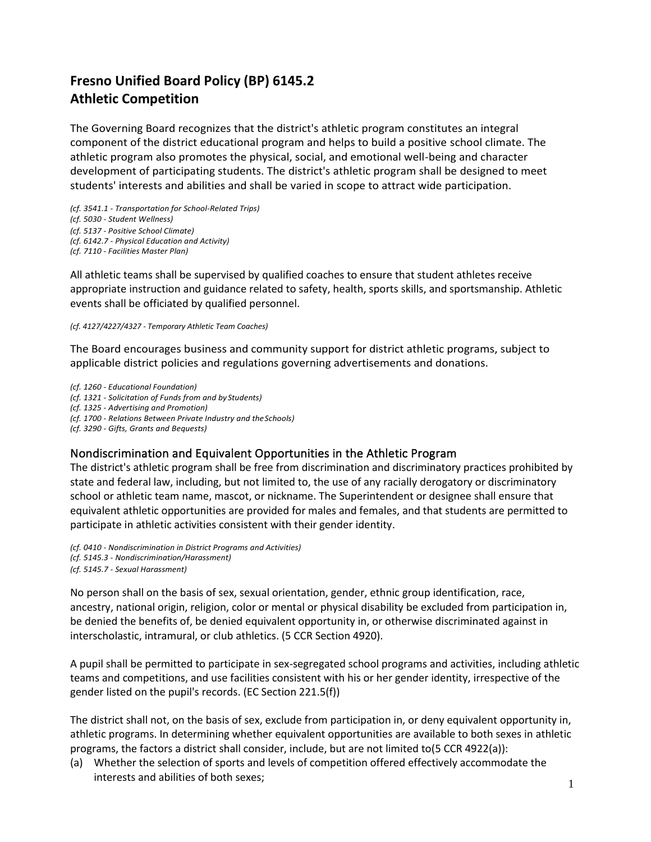# **Fresno Unified Board Policy (BP) 6145.2 Athletic Competition**

The Governing Board recognizes that the district's athletic program constitutes an integral component of the district educational program and helps to build a positive school climate. The athletic program also promotes the physical, social, and emotional well-being and character development of participating students. The district's athletic program shall be designed to meet students' interests and abilities and shall be varied in scope to attract wide participation.

*(cf. 3541.1 - Transportation for School-Related Trips) (cf. 5030 - Student Wellness) (cf. 5137 - Positive School Climate)*

*(cf. 6142.7 - Physical Education and Activity)* 

*(cf. 7110 - Facilities Master Plan)*

All athletic teams shall be supervised by qualified coaches to ensure that student athletes receive appropriate instruction and guidance related to safety, health, sports skills, and sportsmanship. Athletic events shall be officiated by qualified personnel.

#### *(cf. 4127/4227/4327 - Temporary Athletic Team Coaches)*

The Board encourages business and community support for district athletic programs, subject to applicable district policies and regulations governing advertisements and donations.

*(cf. 1260 - Educational Foundation) (cf. 1321 - Solicitation of Funds from and by Students) (cf. 1325 - Advertising and Promotion) (cf. 1700 - Relations Between Private Industry and theSchools) (cf. 3290 - Gifts, Grants and Bequests)*

# Nondiscrimination and Equivalent Opportunities in the Athletic Program

The district's athletic program shall be free from discrimination and discriminatory practices prohibited by state and federal law, including, but not limited to, the use of any racially derogatory or discriminatory school or athletic team name, mascot, or nickname. The Superintendent or designee shall ensure that equivalent athletic opportunities are provided for males and females, and that students are permitted to participate in athletic activities consistent with their gender identity.

*(cf. 0410 - Nondiscrimination in District Programs and Activities) (cf. 5145.3 - Nondiscrimination/Harassment) (cf. 5145.7 - Sexual Harassment)*

No person shall on the basis of sex, sexual orientation, gender, ethnic group identification, race, ancestry, national origin, religion, color or mental or physical disability be excluded from participation in, be denied the benefits of, be denied equivalent opportunity in, or otherwise discriminated against in interscholastic, intramural, or club athletics. (5 CCR Section 4920).

A pupil shall be permitted to participate in sex-segregated school programs and activities, including athletic teams and competitions, and use facilities consistent with his or her gender identity, irrespective of the gender listed on the pupil's records. (EC Section 221.5(f))

The district shall not, on the basis of sex, exclude from participation in, or deny equivalent opportunity in, athletic programs. In determining whether equivalent opportunities are available to both sexes in athletic programs, the factors a district shall consider, include, but are not limited to(5 CCR 4922(a)):

(a) Whether the selection of sports and levels of competition offered effectively accommodate the interests and abilities of both sexes;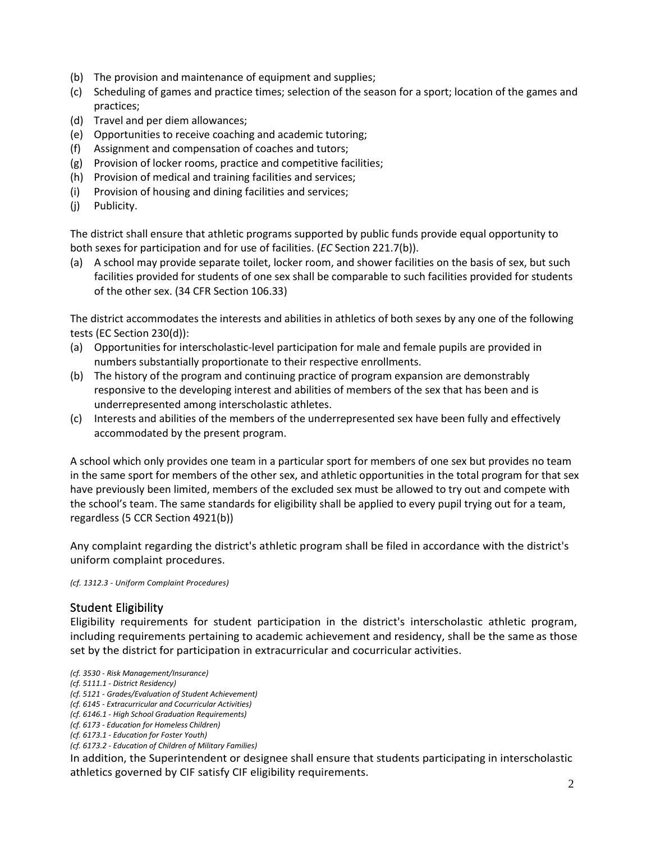- (b) The provision and maintenance of equipment and supplies;
- (c) Scheduling of games and practice times; selection of the season for a sport; location of the games and practices;
- (d) Travel and per diem allowances;
- (e) Opportunities to receive coaching and academic tutoring;
- (f) Assignment and compensation of coaches and tutors;
- (g) Provision of locker rooms, practice and competitive facilities;
- (h) Provision of medical and training facilities and services;
- (i) Provision of housing and dining facilities and services;
- (j) Publicity.

The district shall ensure that athletic programs supported by public funds provide equal opportunity to both sexes for participation and for use of facilities. (*EC* Section 221.7(b)).

(a) A school may provide separate toilet, locker room, and shower facilities on the basis of sex, but such facilities provided fo[r students](https://www.law.cornell.edu/definitions/index.php?width=840&height=800&iframe=true&def_id=b7ed54298238181598cf3cfb11d3add7&term_occur=999&term_src=Title:34:Subtitle:B:Chapter:I:Part:106:Subpart:D:106.33) of one sex shall be comparable to such facilities provided fo[r students](https://www.law.cornell.edu/definitions/index.php?width=840&height=800&iframe=true&def_id=b7ed54298238181598cf3cfb11d3add7&term_occur=999&term_src=Title:34:Subtitle:B:Chapter:I:Part:106:Subpart:D:106.33) of the other sex. (34 CFR Section 106.33)

The district accommodates the interests and abilities in athletics of both sexes by any one of the following tests (EC Section 230(d)):

- (a) Opportunities for interscholastic-level participation for male and female pupils are provided in numbers substantially proportionate to their respective enrollments.
- (b) The history of the program and continuing practice of program expansion are demonstrably responsive to the developing interest and abilities of members of the sex that has been and is underrepresented among interscholastic athletes.
- (c) Interests and abilities of the members of the underrepresented sex have been fully and effectively accommodated by the present program.

A school which only provides one team in a particular sport for members of one sex but provides no team in the same sport for members of the other sex, and athletic opportunities in the total program for that sex have previously been limited, members of the excluded sex must be allowed to try out and compete with the school's team. The same standards for eligibility shall be applied to every pupil trying out for a team, regardless (5 CCR Section 4921(b))

Any complaint regarding the district's athletic program shall be filed in accordance with the district's uniform complaint procedures.

*(cf. 1312.3 - Uniform Complaint Procedures)*

## Student Eligibility

Eligibility requirements for student participation in the district's interscholastic athletic program, including requirements pertaining to academic achievement and residency, shall be the same as those set by the district for participation in extracurricular and cocurricular activities.

In addition, the Superintendent or designee shall ensure that students participating in interscholastic athletics governed by CIF satisfy CIF eligibility requirements.

*<sup>(</sup>cf. 3530 - Risk Management/Insurance)*

*<sup>(</sup>cf. 5111.1 - District Residency)*

*<sup>(</sup>cf. 5121 - Grades/Evaluation of Student Achievement)* 

*<sup>(</sup>cf. 6145 - Extracurricular and Cocurricular Activities)* 

*<sup>(</sup>cf. 6146.1 - High School Graduation Requirements)* 

*<sup>(</sup>cf. 6173 - Education for Homeless Children)*

*<sup>(</sup>cf. 6173.1 - Education for Foster Youth)*

*<sup>(</sup>cf. 6173.2 - Education of Children of Military Families)*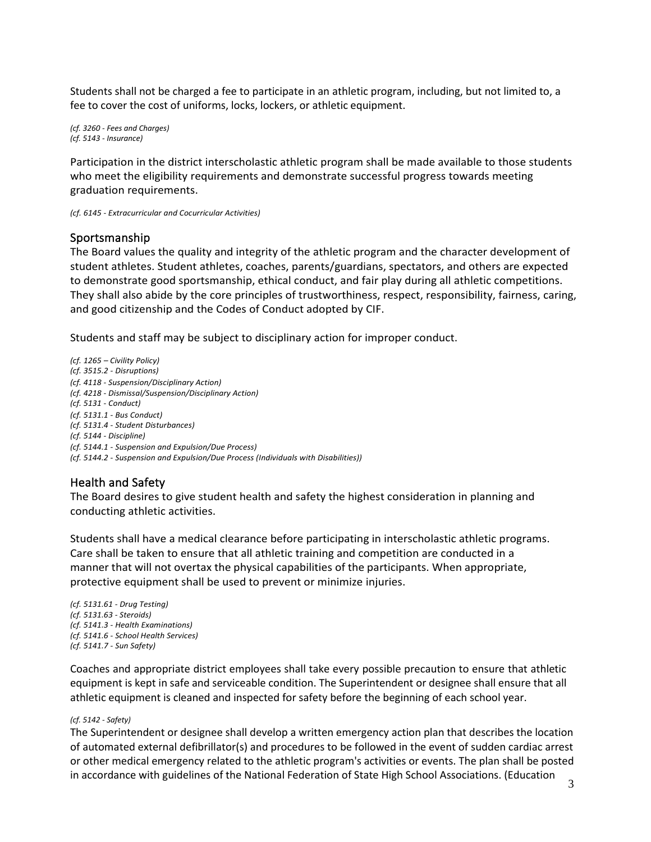Students shall not be charged a fee to participate in an athletic program, including, but not limited to, a fee to cover the cost of uniforms, locks, lockers, or athletic equipment.

*(cf. 3260 - Fees and Charges) (cf. 5143 - Insurance)*

Participation in the district interscholastic athletic program shall be made available to those students who meet the eligibility requirements and demonstrate successful progress towards meeting graduation requirements.

*(cf. 6145 - Extracurricular and Cocurricular Activities)*

### Sportsmanship

The Board values the quality and integrity of the athletic program and the character development of student athletes. Student athletes, coaches, parents/guardians, spectators, and others are expected to demonstrate good sportsmanship, ethical conduct, and fair play during all athletic competitions. They shall also abide by the core principles of trustworthiness, respect, responsibility, fairness, caring, and good citizenship and the Codes of Conduct adopted by CIF.

Students and staff may be subject to disciplinary action for improper conduct.

*(cf. 1265 – Civility Policy) (cf. 3515.2 - Disruptions) (cf. 4118 - Suspension/Disciplinary Action) (cf. 4218 - Dismissal/Suspension/Disciplinary Action) (cf. 5131 - Conduct) (cf. 5131.1 - Bus Conduct) (cf. 5131.4 - Student Disturbances) (cf. 5144 - Discipline) (cf. 5144.1 - Suspension and Expulsion/Due Process) (cf. 5144.2 - Suspension and Expulsion/Due Process (Individuals with Disabilities))*

# Health and Safety

The Board desires to give student health and safety the highest consideration in planning and conducting athletic activities.

Students shall have a medical clearance before participating in interscholastic athletic programs. Care shall be taken to ensure that all athletic training and competition are conducted in a manner that will not overtax the physical capabilities of the participants. When appropriate, protective equipment shall be used to prevent or minimize injuries.

*(cf. 5131.61 - Drug Testing) (cf. 5131.63 - Steroids) (cf. 5141.3 - Health Examinations) (cf. 5141.6 - School Health Services) (cf. 5141.7 - Sun Safety)*

Coaches and appropriate district employees shall take every possible precaution to ensure that athletic equipment is kept in safe and serviceable condition. The Superintendent or designee shall ensure that all athletic equipment is cleaned and inspected for safety before the beginning of each school year.

#### *(cf. 5142 - Safety)*

The Superintendent or designee shall develop a written emergency action plan that describes the location of automated external defibrillator(s) and procedures to be followed in the event of sudden cardiac arrest or other medical emergency related to the athletic program's activities or events. The plan shall be posted in accordance with guidelines of the National Federation of State High School Associations. (Education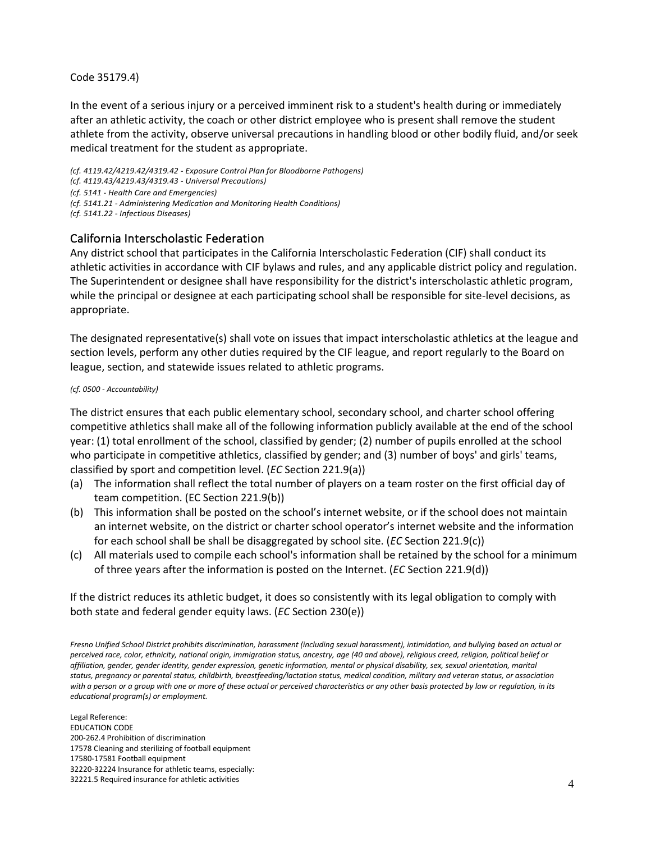#### Code 35179.4)

In the event of a serious injury or a perceived imminent risk to a student's health during or immediately after an athletic activity, the coach or other district employee who is present shall remove the student athlete from the activity, observe universal precautions in handling blood or other bodily fluid, and/or seek medical treatment for the student as appropriate.

*(cf. 4119.42/4219.42/4319.42 - Exposure Control Plan for Bloodborne Pathogens) (cf. 4119.43/4219.43/4319.43 - Universal Precautions) (cf. 5141 - Health Care and Emergencies) (cf. 5141.21 - Administering Medication and Monitoring Health Conditions) (cf. 5141.22 - Infectious Diseases)*

## California Interscholastic Federation

Any district school that participates in the California Interscholastic Federation (CIF) shall conduct its athletic activities in accordance with CIF bylaws and rules, and any applicable district policy and regulation. The Superintendent or designee shall have responsibility for the district's interscholastic athletic program, while the principal or designee at each participating school shall be responsible for site-level decisions, as appropriate.

The designated representative(s) shall vote on issues that impact interscholastic athletics at the league and section levels, perform any other duties required by the CIF league, and report regularly to the Board on league, section, and statewide issues related to athletic programs.

#### *(cf. 0500 - Accountability)*

The district ensures that each public elementary school, secondary school, and charter school offering competitive athletics shall make all of the following information publicly available at the end of the school year: (1) total enrollment of the school, classified by gender; (2) number of pupils enrolled at the school who participate in competitive athletics, classified by gender; and (3) number of boys' and girls' teams, classified by sport and competition level. (*EC* Section 221.9(a))

- (a) The information shall reflect the total number of players on a team roster on the first official day of team competition. (EC Section 221.9(b))
- (b) This information shall be posted on the school's internet website, or if the school does not maintain an internet website, on the district or charter school operator's internet website and the information for each school shall be shall be disaggregated by school site. (*EC* Section 221.9(c))
- (c) All materials used to compile each school's information shall be retained by the school for a minimum of three years after the information is posted on the Internet. (*EC* Section 221.9(d))

If the district reduces its athletic budget, it does so consistently with its legal obligation to comply with both state and federal gender equity laws. (*EC* Section 230(e))

*Fresno Unified School District prohibits discrimination, harassment (including sexual harassment), intimidation, and bullying based on actual or perceived race, color, ethnicity, national origin, immigration status, ancestry, age (40 and above), religious creed, religion, political belief or affiliation, gender, gender identity, gender expression, genetic information, mental or physical disability, sex, sexual orientation, marital status, pregnancy or parental status, childbirth, breastfeeding/lactation status, medical condition, military and veteran status, or association with a person or a group with one or more of these actual or perceived characteristics or any other basis protected by law or regulation, in its educational program(s) or employment.*

Legal Reference: EDUCATION CODE 200-262.4 Prohibition of discrimination 17578 Cleaning and sterilizing of football equipment 17580-17581 Football equipment 32220-32224 Insurance for athletic teams, especially: 32221.5 Required insurance for athletic activities